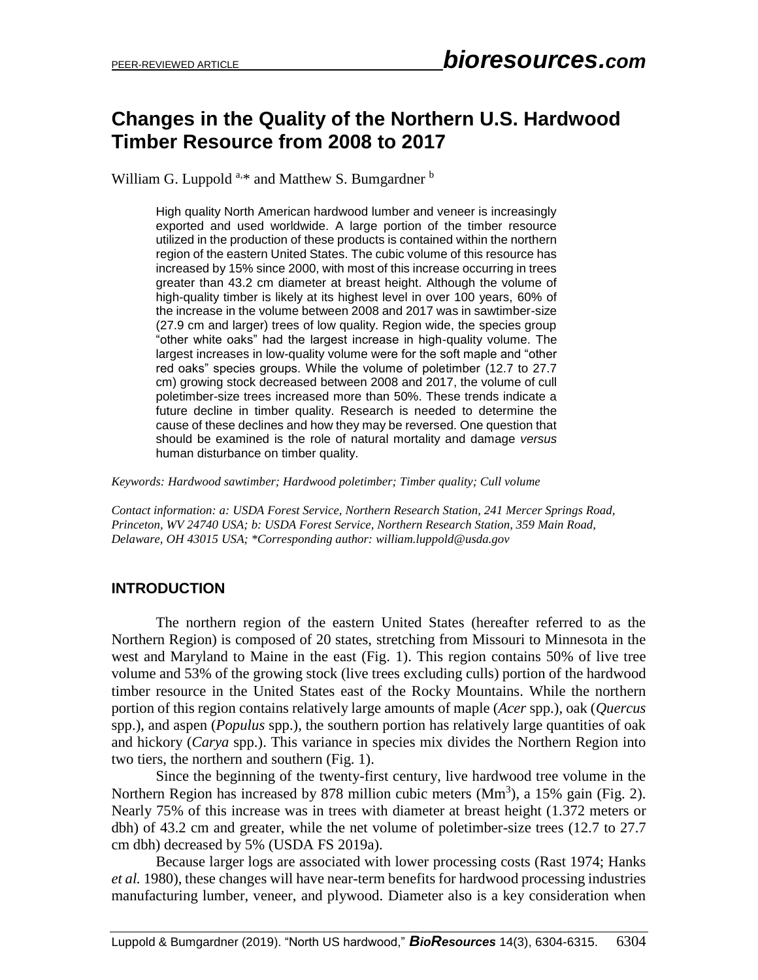# **Changes in the Quality of the Northern U.S. Hardwood Timber Resource from 2008 to 2017**

William G. Luppold  $a.*$  and Matthew S. Bumgardner  $b$ 

High quality North American hardwood lumber and veneer is increasingly exported and used worldwide. A large portion of the timber resource utilized in the production of these products is contained within the northern region of the eastern United States. The cubic volume of this resource has increased by 15% since 2000, with most of this increase occurring in trees greater than 43.2 cm diameter at breast height. Although the volume of high-quality timber is likely at its highest level in over 100 years, 60% of the increase in the volume between 2008 and 2017 was in sawtimber-size (27.9 cm and larger) trees of low quality. Region wide, the species group "other white oaks" had the largest increase in high-quality volume. The largest increases in low-quality volume were for the soft maple and "other red oaks" species groups. While the volume of poletimber (12.7 to 27.7 cm) growing stock decreased between 2008 and 2017, the volume of cull poletimber-size trees increased more than 50%. These trends indicate a future decline in timber quality. Research is needed to determine the cause of these declines and how they may be reversed. One question that should be examined is the role of natural mortality and damage *versus* human disturbance on timber quality.

*Keywords: Hardwood sawtimber; Hardwood poletimber; Timber quality; Cull volume*

*Contact information: a: USDA Forest Service, Northern Research Station, 241 Mercer Springs Road, Princeton, WV 24740 USA; b: USDA Forest Service, Northern Research Station, 359 Main Road, Delaware, OH 43015 USA; \*Corresponding author: william.luppold@usda.gov*

### **INTRODUCTION**

The northern region of the eastern United States (hereafter referred to as the Northern Region) is composed of 20 states, stretching from Missouri to Minnesota in the west and Maryland to Maine in the east (Fig. 1). This region contains 50% of live tree volume and 53% of the growing stock (live trees excluding culls) portion of the hardwood timber resource in the United States east of the Rocky Mountains. While the northern portion of this region contains relatively large amounts of maple (*Acer* spp.)*,* oak (*Quercus*  spp.), and aspen (*Populus* spp.), the southern portion has relatively large quantities of oak and hickory (*Carya* spp.). This variance in species mix divides the Northern Region into two tiers, the northern and southern (Fig. 1).

Since the beginning of the twenty-first century, live hardwood tree volume in the Northern Region has increased by 878 million cubic meters  $(Mm<sup>3</sup>)$ , a 15% gain (Fig. 2). Nearly 75% of this increase was in trees with diameter at breast height (1.372 meters or dbh) of 43.2 cm and greater, while the net volume of poletimber-size trees (12.7 to 27.7 cm dbh) decreased by 5% (USDA FS 2019a).

Because larger logs are associated with lower processing costs (Rast 1974; Hanks *et al.* 1980), these changes will have near-term benefits for hardwood processing industries manufacturing lumber, veneer, and plywood. Diameter also is a key consideration when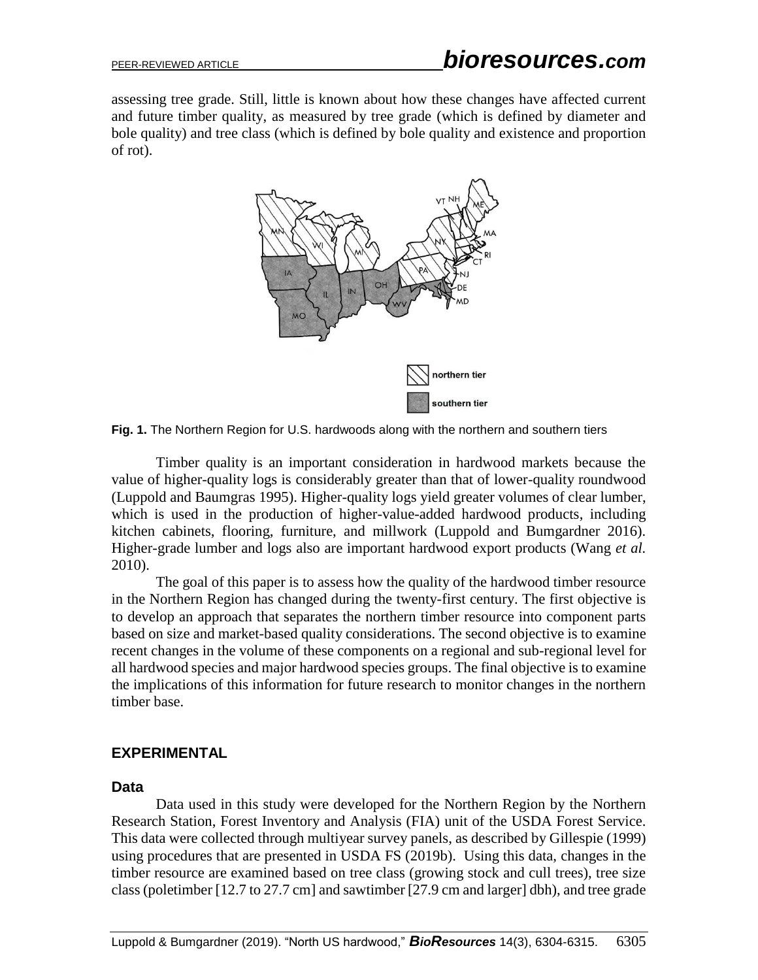assessing tree grade. Still, little is known about how these changes have affected current and future timber quality, as measured by tree grade (which is defined by diameter and bole quality) and tree class (which is defined by bole quality and existence and proportion of rot).



**Fig. 1.** The Northern Region for U.S. hardwoods along with the northern and southern tiers

Timber quality is an important consideration in hardwood markets because the value of higher-quality logs is considerably greater than that of lower-quality roundwood (Luppold and Baumgras 1995). Higher-quality logs yield greater volumes of clear lumber, which is used in the production of higher-value-added hardwood products, including kitchen cabinets, flooring, furniture, and millwork (Luppold and Bumgardner 2016). Higher-grade lumber and logs also are important hardwood export products (Wang *et al.*  2010).

The goal of this paper is to assess how the quality of the hardwood timber resource in the Northern Region has changed during the twenty-first century. The first objective is to develop an approach that separates the northern timber resource into component parts based on size and market-based quality considerations. The second objective is to examine recent changes in the volume of these components on a regional and sub-regional level for all hardwood species and major hardwood species groups. The final objective is to examine the implications of this information for future research to monitor changes in the northern timber base.

### **EXPERIMENTAL**

#### **Data**

Data used in this study were developed for the Northern Region by the Northern Research Station, Forest Inventory and Analysis (FIA) unit of the USDA Forest Service. This data were collected through multiyear survey panels, as described by Gillespie (1999) using procedures that are presented in USDA FS (2019b). Using this data, changes in the timber resource are examined based on tree class (growing stock and cull trees), tree size class (poletimber [12.7 to 27.7 cm] and sawtimber [27.9 cm and larger] dbh), and tree grade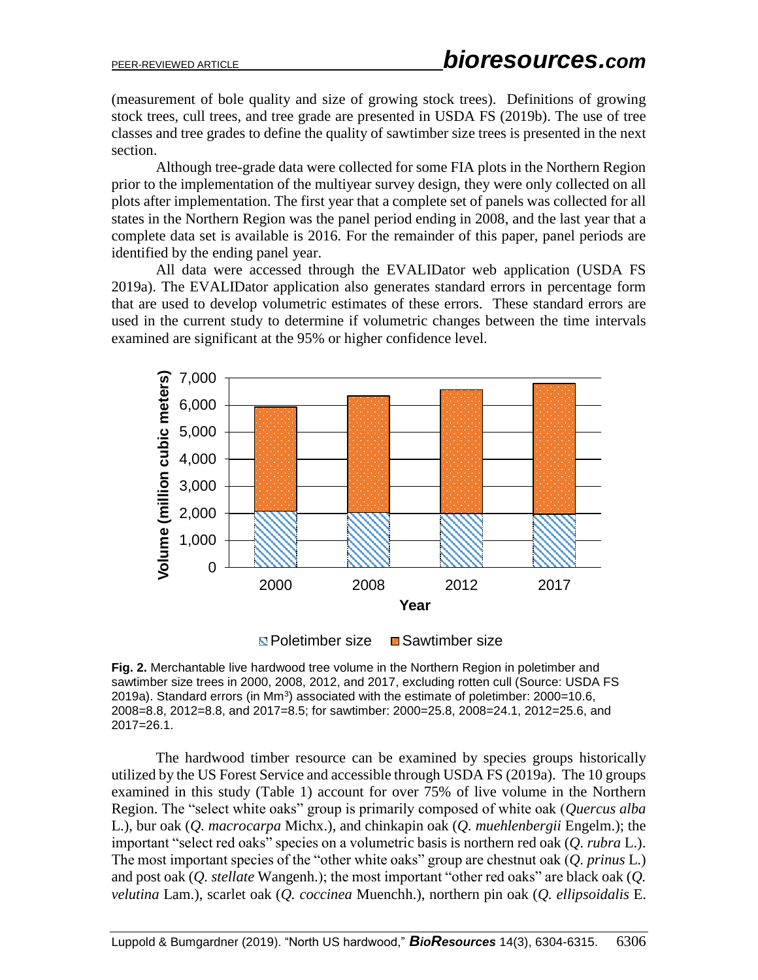(measurement of bole quality and size of growing stock trees). Definitions of growing stock trees, cull trees, and tree grade are presented in USDA FS (2019b). The use of tree classes and tree grades to define the quality of sawtimber size trees is presented in the next section.

Although tree-grade data were collected for some FIA plots in the Northern Region prior to the implementation of the multiyear survey design, they were only collected on all plots after implementation. The first year that a complete set of panels was collected for all states in the Northern Region was the panel period ending in 2008, and the last year that a complete data set is available is 2016. For the remainder of this paper, panel periods are identified by the ending panel year.

All data were accessed through the EVALIDator web application (USDA FS 2019a). The EVALIDator application also generates standard errors in percentage form that are used to develop volumetric estimates of these errors. These standard errors are used in the current study to determine if volumetric changes between the time intervals examined are significant at the 95% or higher confidence level.



**E** Poletimber size ■ Sawtimber size

**Fig. 2.** Merchantable live hardwood tree volume in the Northern Region in poletimber and sawtimber size trees in 2000, 2008, 2012, and 2017, excluding rotten cull (Source: USDA FS 2019a). Standard errors (in Mm<sup>3</sup>) associated with the estimate of poletimber:  $2000=10.6$ , 2008=8.8, 2012=8.8, and 2017=8.5; for sawtimber: 2000=25.8, 2008=24.1, 2012=25.6, and 2017=26.1.

The hardwood timber resource can be examined by species groups historically utilized by the US Forest Service and accessible through USDA FS (2019a). The 10 groups examined in this study (Table 1) account for over 75% of live volume in the Northern Region. The "select white oaks" group is primarily composed of white oak (*Quercus alba* L.), bur oak (*Q. macrocarpa* Michx.), and chinkapin oak (*Q. muehlenbergii* Engelm.); the important "select red oaks" species on a volumetric basis is northern red oak (*Q. rubra* L.). The most important species of the "other white oaks" group are chestnut oak (*Q. prinus* L.) and post oak (*Q. stellate* Wangenh.); the most important "other red oaks" are black oak (*Q. velutina* Lam.), scarlet oak (*Q. coccinea* Muenchh.), northern pin oak (*Q. ellipsoidalis* E.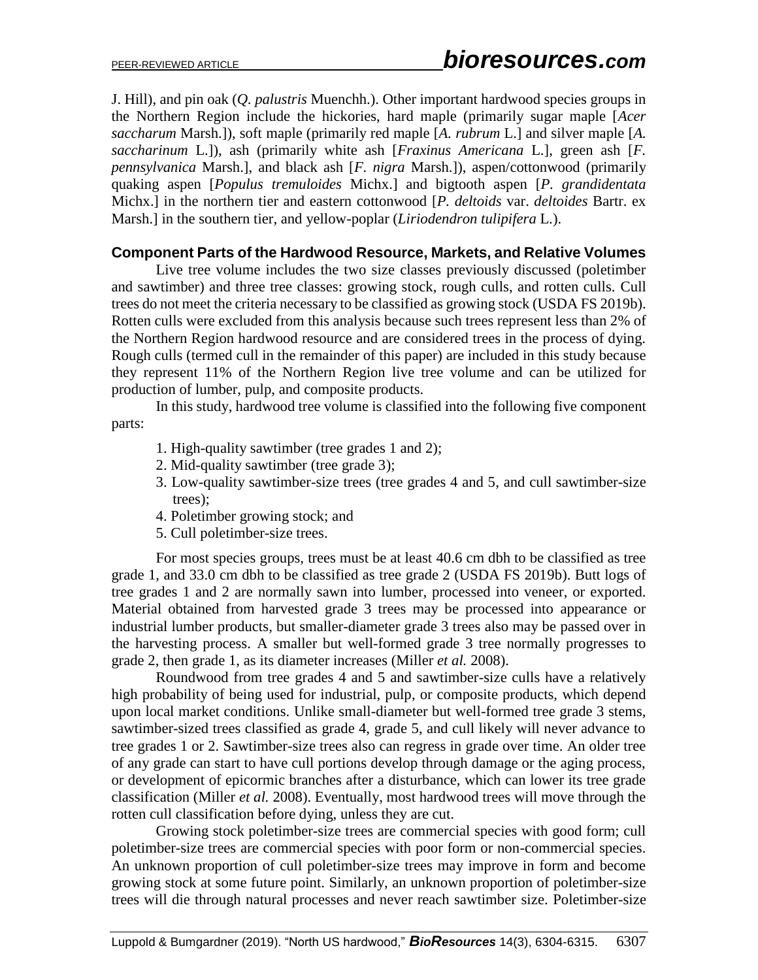J. Hill), and pin oak (*Q. palustris* Muenchh.). Other important hardwood species groups in the Northern Region include the hickories, hard maple (primarily sugar maple [*Acer saccharum* Marsh.]), soft maple (primarily red maple [*A. rubrum* L.] and silver maple [*A. saccharinum* L.]), ash (primarily white ash [*Fraxinus Americana* L.], green ash [*F. pennsylvanica* Marsh.], and black ash [*F. nigra* Marsh.]), aspen/cottonwood (primarily quaking aspen [*Populus tremuloides* Michx.] and bigtooth aspen [*P. grandidentata* Michx.] in the northern tier and eastern cottonwood [*P. deltoids* var. *deltoides* Bartr. ex Marsh.] in the southern tier, and yellow-poplar (*Liriodendron tulipifera* L.).

### **Component Parts of the Hardwood Resource, Markets, and Relative Volumes**

Live tree volume includes the two size classes previously discussed (poletimber and sawtimber) and three tree classes: growing stock, rough culls, and rotten culls. Cull trees do not meet the criteria necessary to be classified as growing stock (USDA FS 2019b). Rotten culls were excluded from this analysis because such trees represent less than 2% of the Northern Region hardwood resource and are considered trees in the process of dying. Rough culls (termed cull in the remainder of this paper) are included in this study because they represent 11% of the Northern Region live tree volume and can be utilized for production of lumber, pulp, and composite products.

In this study, hardwood tree volume is classified into the following five component parts:

- 1. High-quality sawtimber (tree grades 1 and 2);
- 2. Mid-quality sawtimber (tree grade 3);
- 3. Low-quality sawtimber-size trees (tree grades 4 and 5, and cull sawtimber-size trees);
- 4. Poletimber growing stock; and
- 5. Cull poletimber-size trees.

For most species groups, trees must be at least 40.6 cm dbh to be classified as tree grade 1, and 33.0 cm dbh to be classified as tree grade 2 (USDA FS 2019b). Butt logs of tree grades 1 and 2 are normally sawn into lumber, processed into veneer, or exported. Material obtained from harvested grade 3 trees may be processed into appearance or industrial lumber products, but smaller-diameter grade 3 trees also may be passed over in the harvesting process. A smaller but well-formed grade 3 tree normally progresses to grade 2, then grade 1, as its diameter increases (Miller *et al.* 2008).

Roundwood from tree grades 4 and 5 and sawtimber-size culls have a relatively high probability of being used for industrial, pulp, or composite products, which depend upon local market conditions. Unlike small-diameter but well-formed tree grade 3 stems, sawtimber-sized trees classified as grade 4, grade 5, and cull likely will never advance to tree grades 1 or 2. Sawtimber-size trees also can regress in grade over time. An older tree of any grade can start to have cull portions develop through damage or the aging process, or development of epicormic branches after a disturbance, which can lower its tree grade classification (Miller *et al.* 2008). Eventually, most hardwood trees will move through the rotten cull classification before dying, unless they are cut.

Growing stock poletimber-size trees are commercial species with good form; cull poletimber-size trees are commercial species with poor form or non-commercial species. An unknown proportion of cull poletimber-size trees may improve in form and become growing stock at some future point. Similarly, an unknown proportion of poletimber-size trees will die through natural processes and never reach sawtimber size. Poletimber-size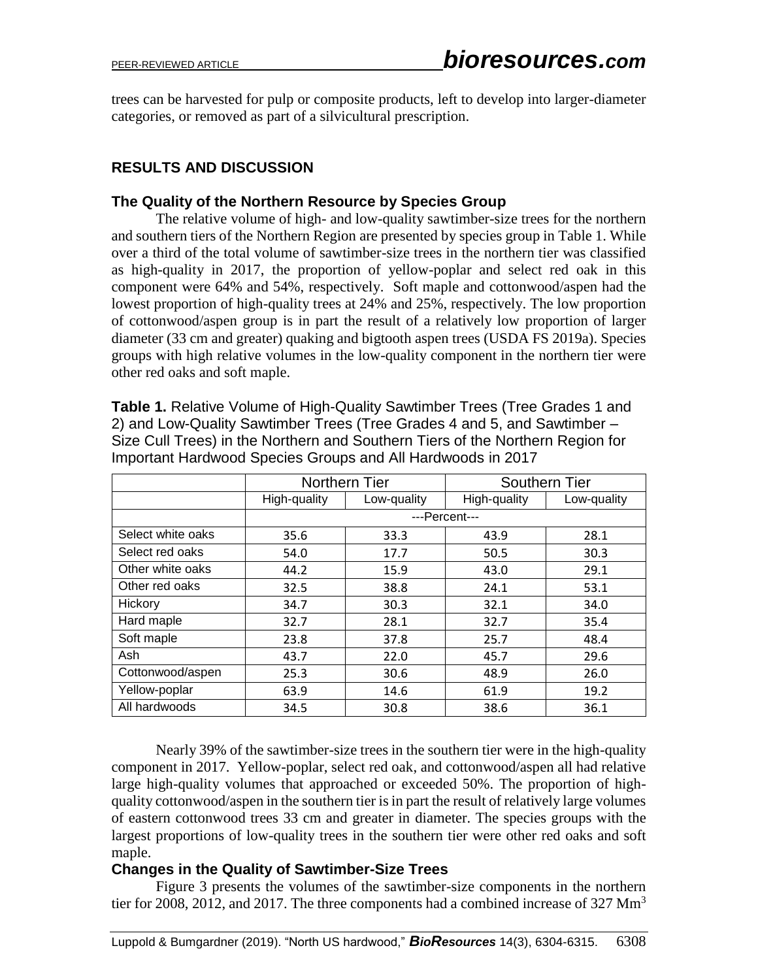trees can be harvested for pulp or composite products, left to develop into larger-diameter categories, or removed as part of a silvicultural prescription.

## **RESULTS AND DISCUSSION**

#### **The Quality of the Northern Resource by Species Group**

The relative volume of high- and low-quality sawtimber-size trees for the northern and southern tiers of the Northern Region are presented by species group in Table 1. While over a third of the total volume of sawtimber-size trees in the northern tier was classified as high-quality in 2017, the proportion of yellow-poplar and select red oak in this component were 64% and 54%, respectively. Soft maple and cottonwood/aspen had the lowest proportion of high-quality trees at 24% and 25%, respectively. The low proportion of cottonwood/aspen group is in part the result of a relatively low proportion of larger diameter (33 cm and greater) quaking and bigtooth aspen trees (USDA FS 2019a). Species groups with high relative volumes in the low-quality component in the northern tier were other red oaks and soft maple.

**Table 1.** Relative Volume of High-Quality Sawtimber Trees (Tree Grades 1 and 2) and Low-Quality Sawtimber Trees (Tree Grades 4 and 5, and Sawtimber – Size Cull Trees) in the Northern and Southern Tiers of the Northern Region for Important Hardwood Species Groups and All Hardwoods in 2017

|                   | Northern Tier |             | <b>Southern Tier</b> |             |
|-------------------|---------------|-------------|----------------------|-------------|
|                   | High-quality  | Low-quality | High-quality         | Low-quality |
|                   | ---Percent--- |             |                      |             |
| Select white oaks | 35.6          | 33.3        | 43.9                 | 28.1        |
| Select red oaks   | 54.0          | 17.7        | 50.5                 | 30.3        |
| Other white oaks  | 44.2          | 15.9        | 43.0                 | 29.1        |
| Other red oaks    | 32.5          | 38.8        | 24.1                 | 53.1        |
| Hickory           | 34.7          | 30.3        | 32.1                 | 34.0        |
| Hard maple        | 32.7          | 28.1        | 32.7                 | 35.4        |
| Soft maple        | 23.8          | 37.8        | 25.7                 | 48.4        |
| Ash               | 43.7          | 22.0        | 45.7                 | 29.6        |
| Cottonwood/aspen  | 25.3          | 30.6        | 48.9                 | 26.0        |
| Yellow-poplar     | 63.9          | 14.6        | 61.9                 | 19.2        |
| All hardwoods     | 34.5          | 30.8        | 38.6                 | 36.1        |

Nearly 39% of the sawtimber-size trees in the southern tier were in the high-quality component in 2017. Yellow-poplar, select red oak, and cottonwood/aspen all had relative large high-quality volumes that approached or exceeded 50%. The proportion of highquality cottonwood/aspen in the southern tier is in part the result of relatively large volumes of eastern cottonwood trees 33 cm and greater in diameter. The species groups with the largest proportions of low-quality trees in the southern tier were other red oaks and soft maple.

### **Changes in the Quality of Sawtimber-Size Trees**

Figure 3 presents the volumes of the sawtimber-size components in the northern tier for 2008, 2012, and 2017. The three components had a combined increase of 327  $\text{Mm}^3$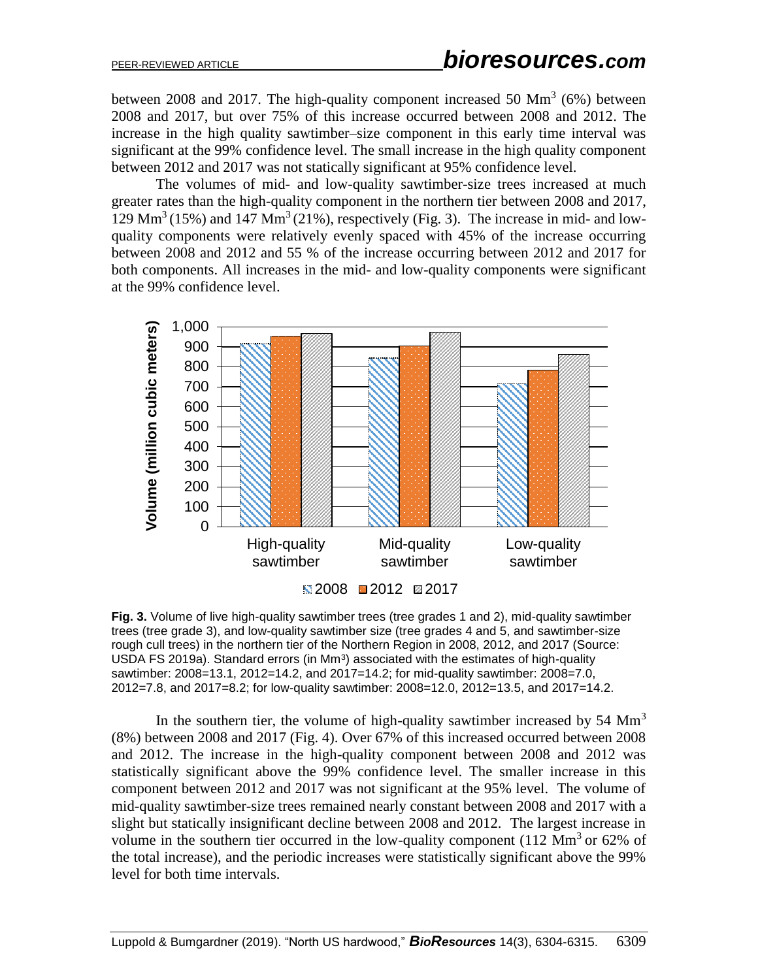between 2008 and 2017. The high-quality component increased 50  $\text{Mm}^3$  (6%) between 2008 and 2017, but over 75% of this increase occurred between 2008 and 2012. The increase in the high quality sawtimber–size component in this early time interval was significant at the 99% confidence level. The small increase in the high quality component between 2012 and 2017 was not statically significant at 95% confidence level.

The volumes of mid- and low-quality sawtimber-size trees increased at much greater rates than the high-quality component in the northern tier between 2008 and 2017,  $129 \text{ Mm}^3$  (15%) and  $147 \text{ Mm}^3$  (21%), respectively (Fig. 3). The increase in mid- and lowquality components were relatively evenly spaced with 45% of the increase occurring between 2008 and 2012 and 55 % of the increase occurring between 2012 and 2017 for both components. All increases in the mid- and low-quality components were significant at the 99% confidence level.



**Fig. 3.** Volume of live high-quality sawtimber trees (tree grades 1 and 2), mid-quality sawtimber trees (tree grade 3), and low-quality sawtimber size (tree grades 4 and 5, and sawtimber-size rough cull trees) in the northern tier of the Northern Region in 2008, 2012, and 2017 (Source: USDA FS 2019a). Standard errors (in  $Mm<sup>3</sup>$ ) associated with the estimates of high-quality sawtimber: 2008=13.1, 2012=14.2, and 2017=14.2; for mid-quality sawtimber: 2008=7.0, 2012=7.8, and 2017=8.2; for low-quality sawtimber: 2008=12.0, 2012=13.5, and 2017=14.2.

In the southern tier, the volume of high-quality sawtimber increased by  $54 \text{ Mm}^3$ (8%) between 2008 and 2017 (Fig. 4). Over 67% of this increased occurred between 2008 and 2012. The increase in the high-quality component between 2008 and 2012 was statistically significant above the 99% confidence level. The smaller increase in this component between 2012 and 2017 was not significant at the 95% level. The volume of mid-quality sawtimber-size trees remained nearly constant between 2008 and 2017 with a slight but statically insignificant decline between 2008 and 2012. The largest increase in volume in the southern tier occurred in the low-quality component (112  $\text{Mm}^3$  or 62% of the total increase), and the periodic increases were statistically significant above the 99% level for both time intervals.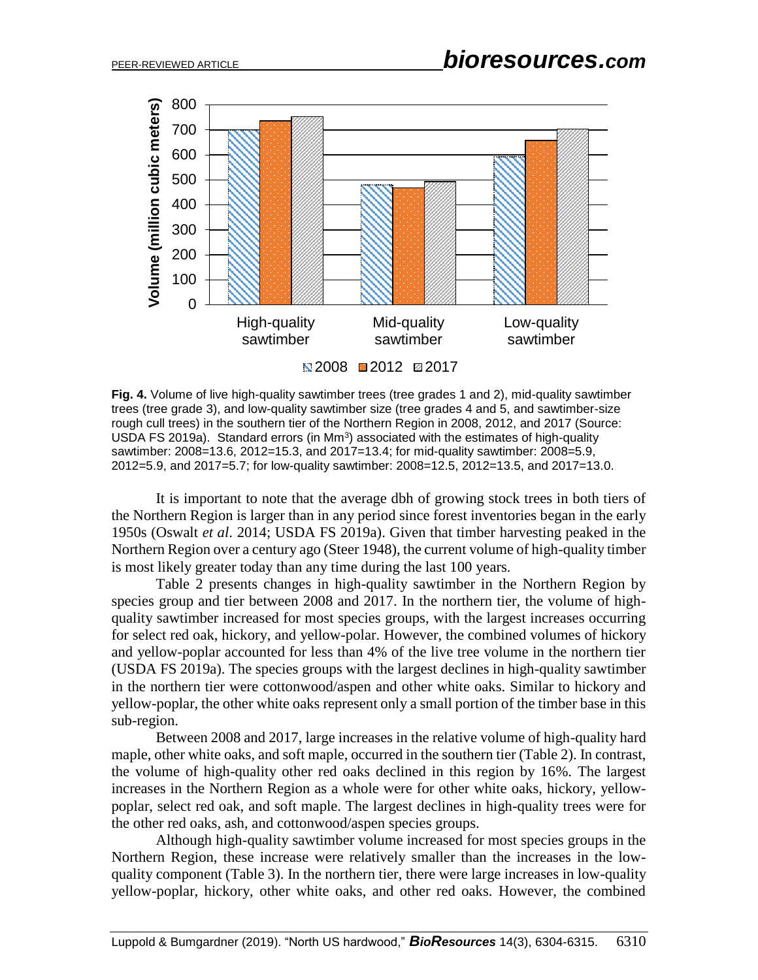

**Fig. 4.** Volume of live high-quality sawtimber trees (tree grades 1 and 2), mid-quality sawtimber trees (tree grade 3), and low-quality sawtimber size (tree grades 4 and 5, and sawtimber-size rough cull trees) in the southern tier of the Northern Region in 2008, 2012, and 2017 (Source: USDA FS 2019a). Standard errors (in  $Mm<sup>3</sup>$ ) associated with the estimates of high-quality sawtimber: 2008=13.6, 2012=15.3, and 2017=13.4; for mid-quality sawtimber: 2008=5.9, 2012=5.9, and 2017=5.7; for low-quality sawtimber: 2008=12.5, 2012=13.5, and 2017=13.0.

It is important to note that the average dbh of growing stock trees in both tiers of the Northern Region is larger than in any period since forest inventories began in the early 1950s (Oswalt *et al*. 2014; USDA FS 2019a). Given that timber harvesting peaked in the Northern Region over a century ago (Steer 1948), the current volume of high-quality timber is most likely greater today than any time during the last 100 years.

Table 2 presents changes in high-quality sawtimber in the Northern Region by species group and tier between 2008 and 2017. In the northern tier, the volume of highquality sawtimber increased for most species groups, with the largest increases occurring for select red oak, hickory, and yellow-polar. However, the combined volumes of hickory and yellow-poplar accounted for less than 4% of the live tree volume in the northern tier (USDA FS 2019a). The species groups with the largest declines in high-quality sawtimber in the northern tier were cottonwood/aspen and other white oaks. Similar to hickory and yellow-poplar, the other white oaks represent only a small portion of the timber base in this sub-region.

Between 2008 and 2017, large increases in the relative volume of high-quality hard maple, other white oaks, and soft maple, occurred in the southern tier (Table 2). In contrast, the volume of high-quality other red oaks declined in this region by 16%. The largest increases in the Northern Region as a whole were for other white oaks, hickory, yellowpoplar, select red oak, and soft maple. The largest declines in high-quality trees were for the other red oaks, ash, and cottonwood/aspen species groups.

Although high-quality sawtimber volume increased for most species groups in the Northern Region, these increase were relatively smaller than the increases in the lowquality component (Table 3). In the northern tier, there were large increases in low-quality yellow-poplar, hickory, other white oaks, and other red oaks. However, the combined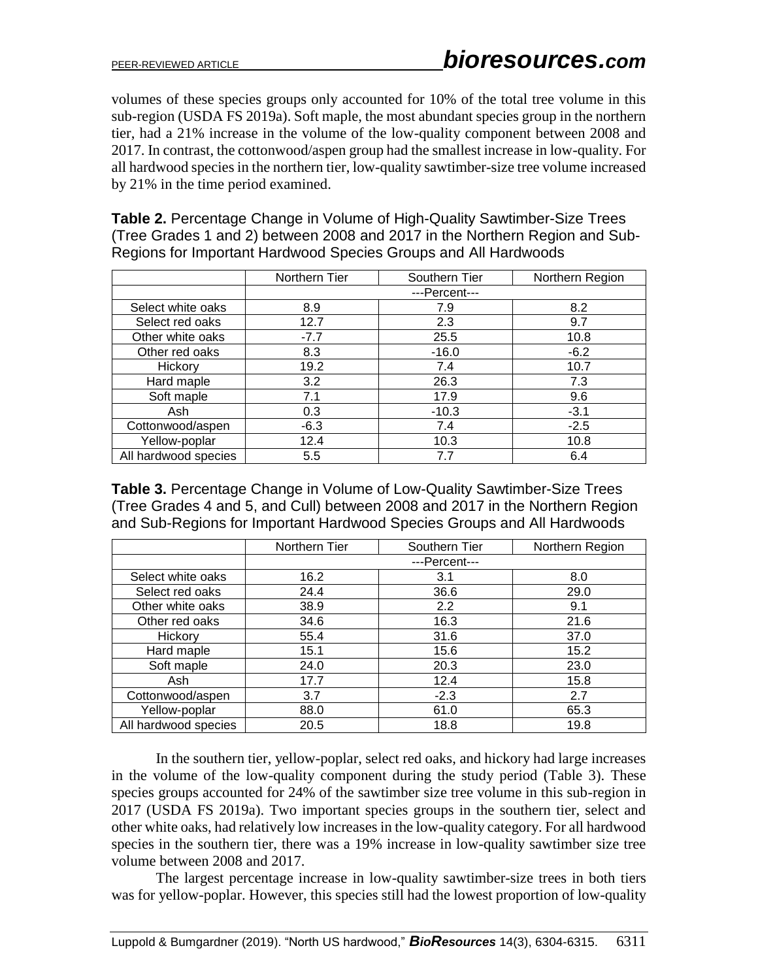volumes of these species groups only accounted for 10% of the total tree volume in this sub-region (USDA FS 2019a). Soft maple, the most abundant species group in the northern tier, had a 21% increase in the volume of the low-quality component between 2008 and 2017. In contrast, the cottonwood/aspen group had the smallest increase in low-quality. For all hardwood species in the northern tier, low-quality sawtimber-size tree volume increased by 21% in the time period examined.

**Table 2.** Percentage Change in Volume of High-Quality Sawtimber-Size Trees (Tree Grades 1 and 2) between 2008 and 2017 in the Northern Region and Sub-Regions for Important Hardwood Species Groups and All Hardwoods

|                      | Northern Tier | Southern Tier | Northern Region |
|----------------------|---------------|---------------|-----------------|
|                      | ---Percent--- |               |                 |
| Select white oaks    | 8.9           | 7.9           | 8.2             |
| Select red oaks      | 12.7          | 2.3           | 9.7             |
| Other white oaks     | $-7.7$        | 25.5          | 10.8            |
| Other red oaks       | 8.3           | $-16.0$       | $-6.2$          |
| Hickory              | 19.2          | 7.4           | 10.7            |
| Hard maple           | 3.2           | 26.3          | 7.3             |
| Soft maple           | 7.1           | 17.9          | 9.6             |
| Ash                  | 0.3           | $-10.3$       | $-3.1$          |
| Cottonwood/aspen     | $-6.3$        | 7.4           | $-2.5$          |
| Yellow-poplar        | 12.4          | 10.3          | 10.8            |
| All hardwood species | 5.5           | 7.7           | 6.4             |

**Table 3.** Percentage Change in Volume of Low-Quality Sawtimber-Size Trees (Tree Grades 4 and 5, and Cull) between 2008 and 2017 in the Northern Region and Sub-Regions for Important Hardwood Species Groups and All Hardwoods

|                      | Northern Tier | Southern Tier | Northern Region |
|----------------------|---------------|---------------|-----------------|
|                      | ---Percent--- |               |                 |
| Select white oaks    | 16.2          | 3.1           | 8.0             |
| Select red oaks      | 24.4          | 36.6          | 29.0            |
| Other white oaks     | 38.9          | 2.2           | 9.1             |
| Other red oaks       | 34.6          | 16.3          | 21.6            |
| Hickory              | 55.4          | 31.6          | 37.0            |
| Hard maple           | 15.1          | 15.6          | 15.2            |
| Soft maple           | 24.0          | 20.3          | 23.0            |
| Ash                  | 17.7          | 12.4          | 15.8            |
| Cottonwood/aspen     | 3.7           | $-2.3$        | 2.7             |
| Yellow-poplar        | 88.0          | 61.0          | 65.3            |
| All hardwood species | 20.5          | 18.8          | 19.8            |

In the southern tier, yellow-poplar, select red oaks, and hickory had large increases in the volume of the low-quality component during the study period (Table 3). These species groups accounted for 24% of the sawtimber size tree volume in this sub-region in 2017 (USDA FS 2019a). Two important species groups in the southern tier, select and other white oaks, had relatively low increases in the low-quality category. For all hardwood species in the southern tier, there was a 19% increase in low-quality sawtimber size tree volume between 2008 and 2017.

The largest percentage increase in low-quality sawtimber-size trees in both tiers was for yellow-poplar. However, this species still had the lowest proportion of low-quality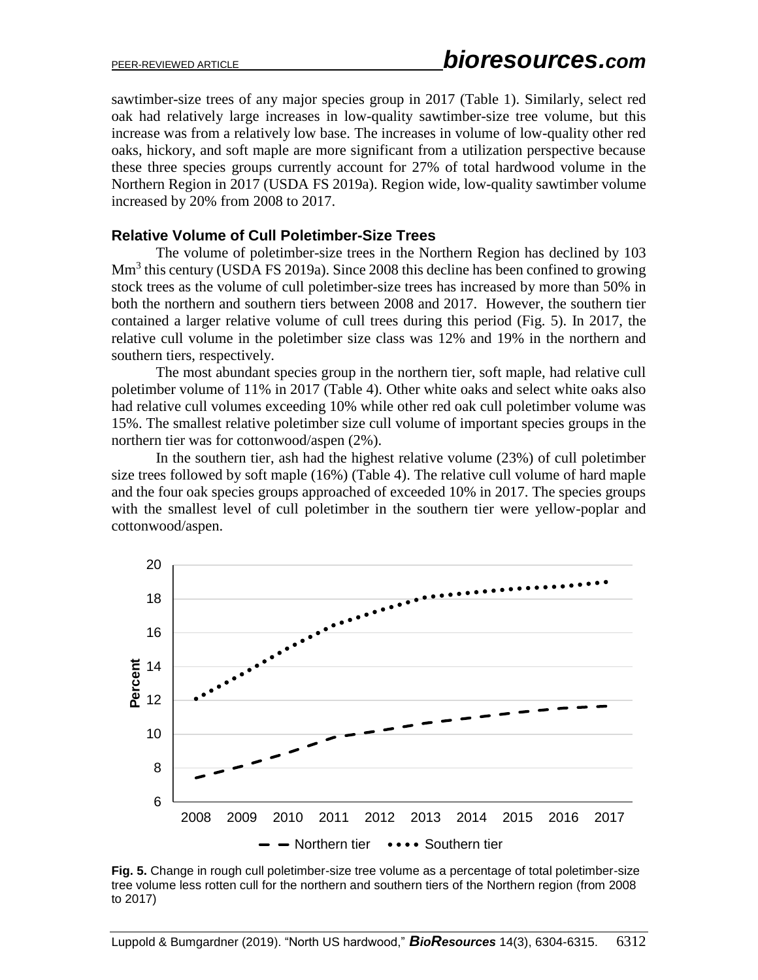sawtimber-size trees of any major species group in 2017 (Table 1). Similarly, select red oak had relatively large increases in low-quality sawtimber-size tree volume, but this increase was from a relatively low base. The increases in volume of low-quality other red oaks, hickory, and soft maple are more significant from a utilization perspective because these three species groups currently account for 27% of total hardwood volume in the Northern Region in 2017 (USDA FS 2019a). Region wide, low-quality sawtimber volume increased by 20% from 2008 to 2017.

#### **Relative Volume of Cull Poletimber-Size Trees**

The volume of poletimber-size trees in the Northern Region has declined by 103 Mm<sup>3</sup> this century (USDA FS 2019a). Since 2008 this decline has been confined to growing stock trees as the volume of cull poletimber-size trees has increased by more than 50% in both the northern and southern tiers between 2008 and 2017. However, the southern tier contained a larger relative volume of cull trees during this period (Fig. 5). In 2017, the relative cull volume in the poletimber size class was 12% and 19% in the northern and southern tiers, respectively.

The most abundant species group in the northern tier, soft maple, had relative cull poletimber volume of 11% in 2017 (Table 4). Other white oaks and select white oaks also had relative cull volumes exceeding 10% while other red oak cull poletimber volume was 15%. The smallest relative poletimber size cull volume of important species groups in the northern tier was for cottonwood/aspen (2%).

In the southern tier, ash had the highest relative volume (23%) of cull poletimber size trees followed by soft maple (16%) (Table 4). The relative cull volume of hard maple and the four oak species groups approached of exceeded 10% in 2017. The species groups with the smallest level of cull poletimber in the southern tier were yellow-poplar and cottonwood/aspen.



**Fig. 5.** Change in rough cull poletimber-size tree volume as a percentage of total poletimber-size tree volume less rotten cull for the northern and southern tiers of the Northern region (from 2008 to 2017)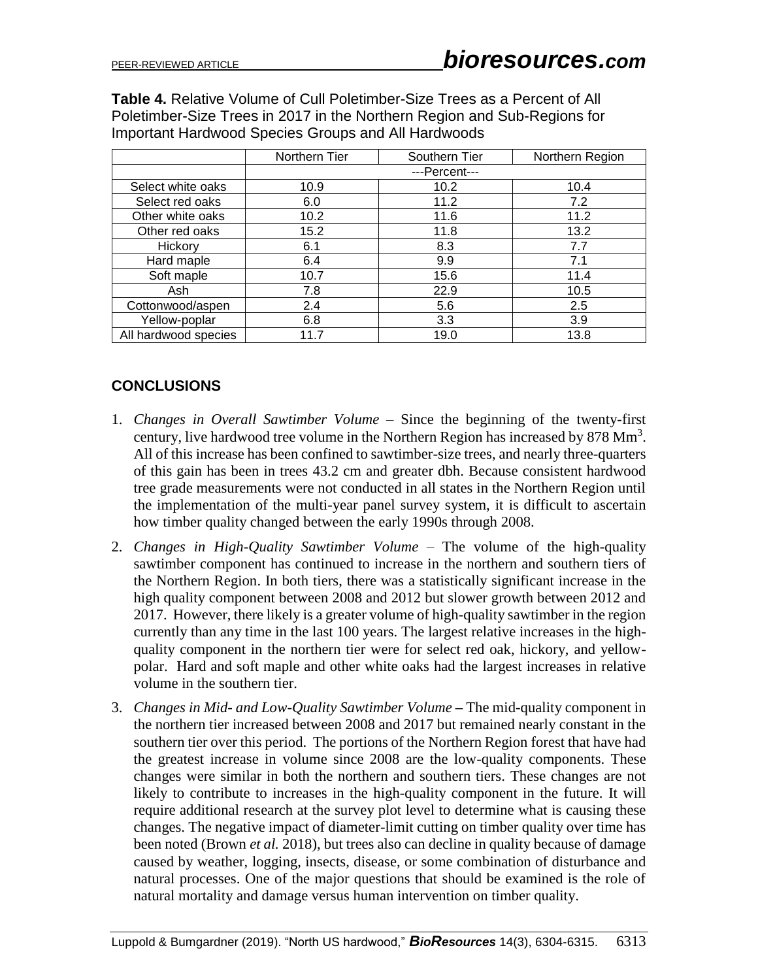**Table 4.** Relative Volume of Cull Poletimber-Size Trees as a Percent of All Poletimber-Size Trees in 2017 in the Northern Region and Sub-Regions for Important Hardwood Species Groups and All Hardwoods

|                      | Northern Tier | Southern Tier | Northern Region |
|----------------------|---------------|---------------|-----------------|
|                      | ---Percent--- |               |                 |
| Select white oaks    | 10.9          | 10.2          | 10.4            |
| Select red oaks      | 6.0           | 11.2          | 7.2             |
| Other white oaks     | 10.2          | 11.6          | 11.2            |
| Other red oaks       | 15.2          | 11.8          | 13.2            |
| Hickory              | 6.1           | 8.3           | 7.7             |
| Hard maple           | 6.4           | 9.9           | 7.1             |
| Soft maple           | 10.7          | 15.6          | 11.4            |
| Ash                  | 7.8           | 22.9          | 10.5            |
| Cottonwood/aspen     | 2.4           | 5.6           | 2.5             |
| Yellow-poplar        | 6.8           | 3.3           | 3.9             |
| All hardwood species | 11.7          | 19.0          | 13.8            |

## **CONCLUSIONS**

- 1. *Changes in Overall Sawtimber Volume* Since the beginning of the twenty-first century, live hardwood tree volume in the Northern Region has increased by 878  $\text{Mm}^3$ . All of this increase has been confined to sawtimber-size trees, and nearly three-quarters of this gain has been in trees 43.2 cm and greater dbh. Because consistent hardwood tree grade measurements were not conducted in all states in the Northern Region until the implementation of the multi-year panel survey system, it is difficult to ascertain how timber quality changed between the early 1990s through 2008.
- 2. *Changes in High-Quality Sawtimber Volume –* The volume of the high-quality sawtimber component has continued to increase in the northern and southern tiers of the Northern Region. In both tiers, there was a statistically significant increase in the high quality component between 2008 and 2012 but slower growth between 2012 and 2017. However, there likely is a greater volume of high-quality sawtimber in the region currently than any time in the last 100 years. The largest relative increases in the highquality component in the northern tier were for select red oak, hickory, and yellowpolar. Hard and soft maple and other white oaks had the largest increases in relative volume in the southern tier.
- 3. *Changes in Mid- and Low-Quality Sawtimber Volume* **–** The mid-quality component in the northern tier increased between 2008 and 2017 but remained nearly constant in the southern tier over this period. The portions of the Northern Region forest that have had the greatest increase in volume since 2008 are the low-quality components. These changes were similar in both the northern and southern tiers. These changes are not likely to contribute to increases in the high-quality component in the future. It will require additional research at the survey plot level to determine what is causing these changes. The negative impact of diameter-limit cutting on timber quality over time has been noted (Brown *et al.* 2018), but trees also can decline in quality because of damage caused by weather, logging, insects, disease, or some combination of disturbance and natural processes. One of the major questions that should be examined is the role of natural mortality and damage versus human intervention on timber quality.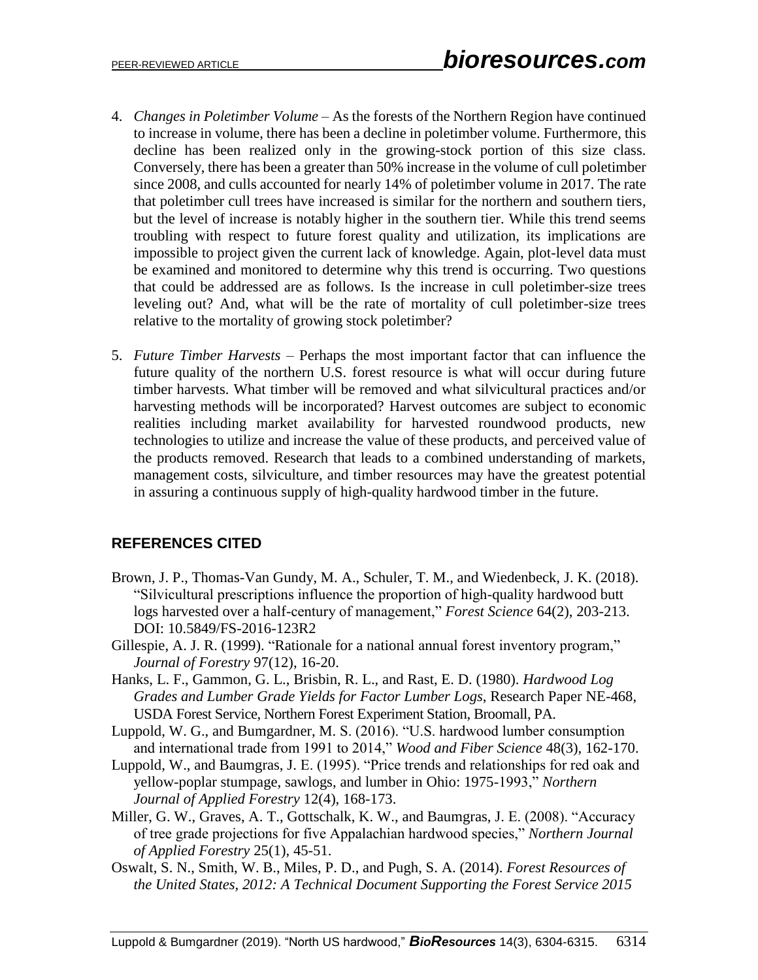- 4. *Changes in Poletimber Volume* As the forests of the Northern Region have continued to increase in volume, there has been a decline in poletimber volume. Furthermore, this decline has been realized only in the growing-stock portion of this size class. Conversely, there has been a greater than 50% increase in the volume of cull poletimber since 2008, and culls accounted for nearly 14% of poletimber volume in 2017. The rate that poletimber cull trees have increased is similar for the northern and southern tiers, but the level of increase is notably higher in the southern tier. While this trend seems troubling with respect to future forest quality and utilization, its implications are impossible to project given the current lack of knowledge. Again, plot-level data must be examined and monitored to determine why this trend is occurring. Two questions that could be addressed are as follows. Is the increase in cull poletimber-size trees leveling out? And, what will be the rate of mortality of cull poletimber-size trees relative to the mortality of growing stock poletimber?
- 5. *Future Timber Harvests* Perhaps the most important factor that can influence the future quality of the northern U.S. forest resource is what will occur during future timber harvests. What timber will be removed and what silvicultural practices and/or harvesting methods will be incorporated? Harvest outcomes are subject to economic realities including market availability for harvested roundwood products, new technologies to utilize and increase the value of these products, and perceived value of the products removed. Research that leads to a combined understanding of markets, management costs, silviculture, and timber resources may have the greatest potential in assuring a continuous supply of high-quality hardwood timber in the future.

## **REFERENCES CITED**

- Brown, J. P., Thomas-Van Gundy, M. A., Schuler, T. M., and Wiedenbeck, J. K. (2018). "Silvicultural prescriptions influence the proportion of high-quality hardwood butt logs harvested over a half-century of management," *Forest Science* 64(2), 203-213. DOI: 10.5849/FS-2016-123R2
- Gillespie, A. J. R. (1999). "Rationale for a national annual forest inventory program," *Journal of Forestry* 97(12), 16-20.
- Hanks, L. F., Gammon, G. L., Brisbin, R. L., and Rast, E. D. (1980). *Hardwood Log Grades and Lumber Grade Yields for Factor Lumber Logs*, Research Paper NE-468, USDA Forest Service, Northern Forest Experiment Station, Broomall, PA.
- Luppold, W. G., and Bumgardner, M. S. (2016). "U.S. hardwood lumber consumption and international trade from 1991 to 2014," *Wood and Fiber Science* 48(3), 162-170.
- Luppold, W., and Baumgras, J. E. (1995). "Price trends and relationships for red oak and yellow-poplar stumpage, sawlogs, and lumber in Ohio: 1975-1993," *Northern Journal of Applied Forestry* 12(4), 168-173.
- Miller, G. W., Graves, A. T., Gottschalk, K. W., and Baumgras, J. E. (2008). "Accuracy of tree grade projections for five Appalachian hardwood species," *Northern Journal of Applied Forestry* 25(1), 45-51.
- Oswalt, S. N., Smith, W. B., Miles, P. D., and Pugh, S. A. (2014). *Forest Resources of the United States, 2012: A Technical Document Supporting the Forest Service 2015*